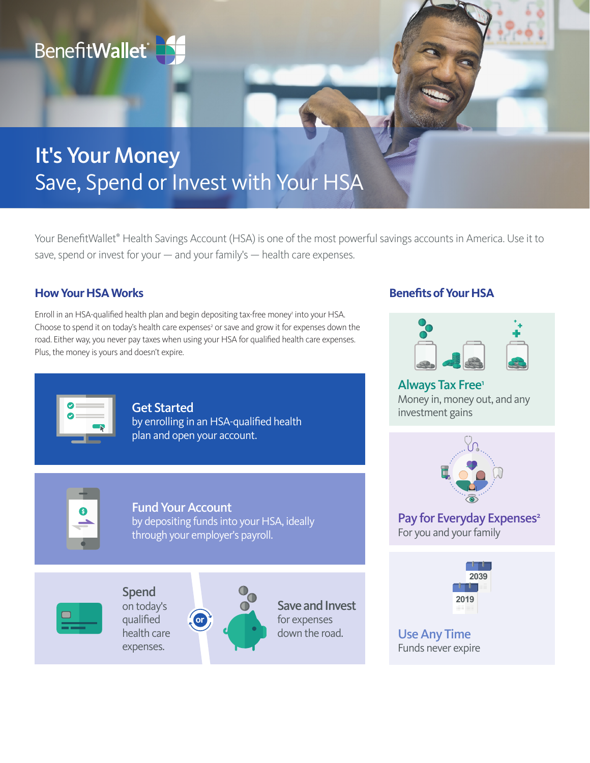

# It's Your Money Save, Spend or Invest with Your HSA

Your BenefitWallet<sup>®</sup> Health Savings Account (HSA) is one of the most powerful savings accounts in America. Use it to save, spend or invest for your — and your family's — health care expenses.

## **How Your HSA Works**

Enroll in an HSA-qualified health plan and begin depositing tax-free money' into your HSA. Choose to spend it on today's health care expenses<sup>2</sup> or save and grow it for expenses down the road. Either way, you never pay taxes when using your HSA for qualified health care expenses. Plus, the money is yours and doesn't expire.



Get Started by enrolling in an HSA-qualified health plan and open your account.



Fund Your Account by depositing funds into your HSA, ideally through your employer's payroll.



Spend on today's qualified health care expenses.



Save and Invest for expenses down the road.

# **Benefits of Your HSA**



Always Tax Free<sup>1</sup> Money in, money out, and any investment gains



Pay for Everyday Expenses<sup>2</sup> For you and your family



Use Any Time Funds never expire